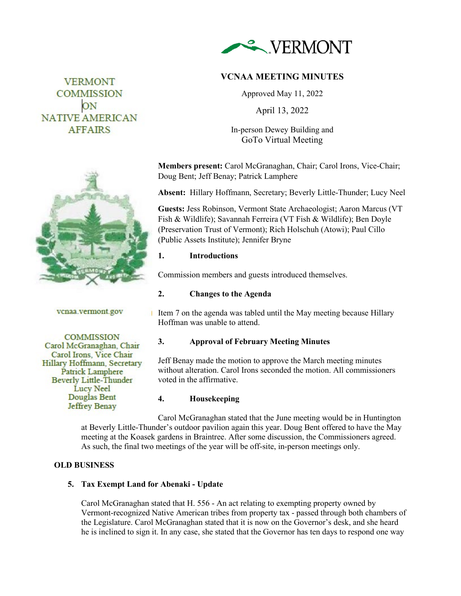

# **VCNAA MEETING MINUTES**

Approved May 11, 2022

April 13, 2022

In-person Dewey Building and GoTo Virtual Meeting

**Members present:** Carol McGranaghan, Chair; Carol Irons, Vice-Chair; Doug Bent; Jeff Benay; Patrick Lamphere

**Absent:** Hillary Hoffmann, Secretary; Beverly Little-Thunder; Lucy Neel

**Guests:** Jess Robinson, Vermont State Archaeologist; Aaron Marcus (VT Fish & Wildlife); Savannah Ferreira (VT Fish & Wildlife); Ben Doyle (Preservation Trust of Vermont); Rich Holschuh (Atowi); Paul Cillo (Public Assets Institute); Jennifer Bryne

## **1. Introductions**

Commission members and guests introduced themselves.

## **2. Changes to the Agenda**

vcnaa.vermont.gov

Item 7 on the agenda was tabled until the May meeting because Hillary Hoffman was unable to attend.

## **3. Approval of February Meeting Minutes**

Jeff Benay made the motion to approve the March meeting minutes without alteration. Carol Irons seconded the motion. All commissioners voted in the affirmative.

## **4. Housekeeping**

Carol McGranaghan stated that the June meeting would be in Huntington at Beverly Little-Thunder's outdoor pavilion again this year. Doug Bent offered to have the May meeting at the Koasek gardens in Braintree. After some discussion, the Commissioners agreed. As such, the final two meetings of the year will be off-site, in-person meetings only.

## **OLD BUSINESS**

## **5. Tax Exempt Land for Abenaki - Update**

T.

Carol McGranaghan stated that H. 556 - An act relating to exempting property owned by Vermont-recognized Native American tribes from property tax - passed through both chambers of the Legislature. Carol McGranaghan stated that it is now on the Governor's desk, and she heard he is inclined to sign it. In any case, she stated that the Governor has ten days to respond one way





ON **NATIVE AMERICAN AFFAIRS** 

**VERMONT COMMISSION**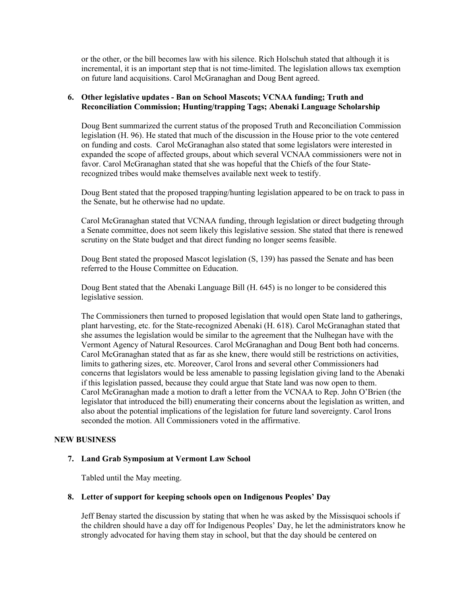or the other, or the bill becomes law with his silence. Rich Holschuh stated that although it is incremental, it is an important step that is not time-limited. The legislation allows tax exemption on future land acquisitions. Carol McGranaghan and Doug Bent agreed.

## **6. Other legislative updates - Ban on School Mascots; VCNAA funding; Truth and Reconciliation Commission; Hunting/trapping Tags; Abenaki Language Scholarship**

Doug Bent summarized the current status of the proposed Truth and Reconciliation Commission legislation (H. 96). He stated that much of the discussion in the House prior to the vote centered on funding and costs. Carol McGranaghan also stated that some legislators were interested in expanded the scope of affected groups, about which several VCNAA commissioners were not in favor. Carol McGranaghan stated that she was hopeful that the Chiefs of the four Staterecognized tribes would make themselves available next week to testify.

Doug Bent stated that the proposed trapping/hunting legislation appeared to be on track to pass in the Senate, but he otherwise had no update.

Carol McGranaghan stated that VCNAA funding, through legislation or direct budgeting through a Senate committee, does not seem likely this legislative session. She stated that there is renewed scrutiny on the State budget and that direct funding no longer seems feasible.

Doug Bent stated the proposed Mascot legislation (S, 139) has passed the Senate and has been referred to the House Committee on Education.

Doug Bent stated that the Abenaki Language Bill (H. 645) is no longer to be considered this legislative session.

The Commissioners then turned to proposed legislation that would open State land to gatherings, plant harvesting, etc. for the State-recognized Abenaki (H. 618). Carol McGranaghan stated that she assumes the legislation would be similar to the agreement that the Nulhegan have with the Vermont Agency of Natural Resources. Carol McGranaghan and Doug Bent both had concerns. Carol McGranaghan stated that as far as she knew, there would still be restrictions on activities, limits to gathering sizes, etc. Moreover, Carol Irons and several other Commissioners had concerns that legislators would be less amenable to passing legislation giving land to the Abenaki if this legislation passed, because they could argue that State land was now open to them. Carol McGranaghan made a motion to draft a letter from the VCNAA to Rep. John O'Brien (the legislator that introduced the bill) enumerating their concerns about the legislation as written, and also about the potential implications of the legislation for future land sovereignty. Carol Irons seconded the motion. All Commissioners voted in the affirmative.

#### **NEW BUSINESS**

#### **7. Land Grab Symposium at Vermont Law School**

Tabled until the May meeting.

#### **8. Letter of support for keeping schools open on Indigenous Peoples' Day**

Jeff Benay started the discussion by stating that when he was asked by the Missisquoi schools if the children should have a day off for Indigenous Peoples' Day, he let the administrators know he strongly advocated for having them stay in school, but that the day should be centered on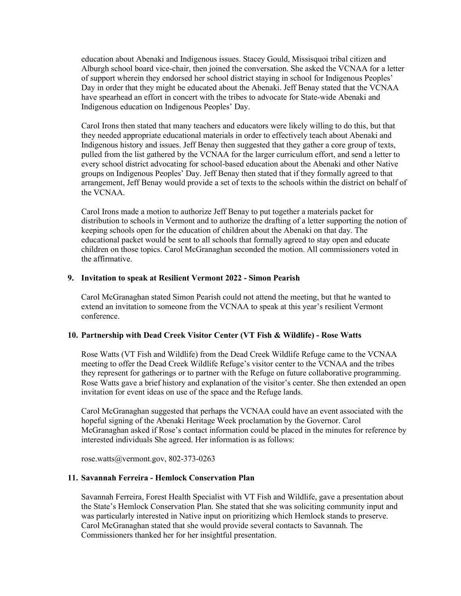education about Abenaki and Indigenous issues. Stacey Gould, Missisquoi tribal citizen and Alburgh school board vice-chair, then joined the conversation. She asked the VCNAA for a letter of support wherein they endorsed her school district staying in school for Indigenous Peoples' Day in order that they might be educated about the Abenaki. Jeff Benay stated that the VCNAA have spearhead an effort in concert with the tribes to advocate for State-wide Abenaki and Indigenous education on Indigenous Peoples' Day.

Carol Irons then stated that many teachers and educators were likely willing to do this, but that they needed appropriate educational materials in order to effectively teach about Abenaki and Indigenous history and issues. Jeff Benay then suggested that they gather a core group of texts, pulled from the list gathered by the VCNAA for the larger curriculum effort, and send a letter to every school district advocating for school-based education about the Abenaki and other Native groups on Indigenous Peoples' Day. Jeff Benay then stated that if they formally agreed to that arrangement, Jeff Benay would provide a set of texts to the schools within the district on behalf of the VCNAA.

Carol Irons made a motion to authorize Jeff Benay to put together a materials packet for distribution to schools in Vermont and to authorize the drafting of a letter supporting the notion of keeping schools open for the education of children about the Abenaki on that day. The educational packet would be sent to all schools that formally agreed to stay open and educate children on those topics. Carol McGranaghan seconded the motion. All commissioners voted in the affirmative.

#### **9. Invitation to speak at Resilient Vermont 2022 - Simon Pearish**

Carol McGranaghan stated Simon Pearish could not attend the meeting, but that he wanted to extend an invitation to someone from the VCNAA to speak at this year's resilient Vermont conference.

## **10. Partnership with Dead Creek Visitor Center (VT Fish & Wildlife) - Rose Watts**

Rose Watts (VT Fish and Wildlife) from the Dead Creek Wildlife Refuge came to the VCNAA meeting to offer the Dead Creek Wildlife Refuge's visitor center to the VCNAA and the tribes they represent for gatherings or to partner with the Refuge on future collaborative programming. Rose Watts gave a brief history and explanation of the visitor's center. She then extended an open invitation for event ideas on use of the space and the Refuge lands.

Carol McGranaghan suggested that perhaps the VCNAA could have an event associated with the hopeful signing of the Abenaki Heritage Week proclamation by the Governor. Carol McGranaghan asked if Rose's contact information could be placed in the minutes for reference by interested individuals She agreed. Her information is as follows:

rose.watts@vermont.gov, 802-373-0263

## **11. Savannah Ferreira - Hemlock Conservation Plan**

Savannah Ferreira, Forest Health Specialist with VT Fish and Wildlife, gave a presentation about the State's Hemlock Conservation Plan. She stated that she was soliciting community input and was particularly interested in Native input on prioritizing which Hemlock stands to preserve. Carol McGranaghan stated that she would provide several contacts to Savannah. The Commissioners thanked her for her insightful presentation.